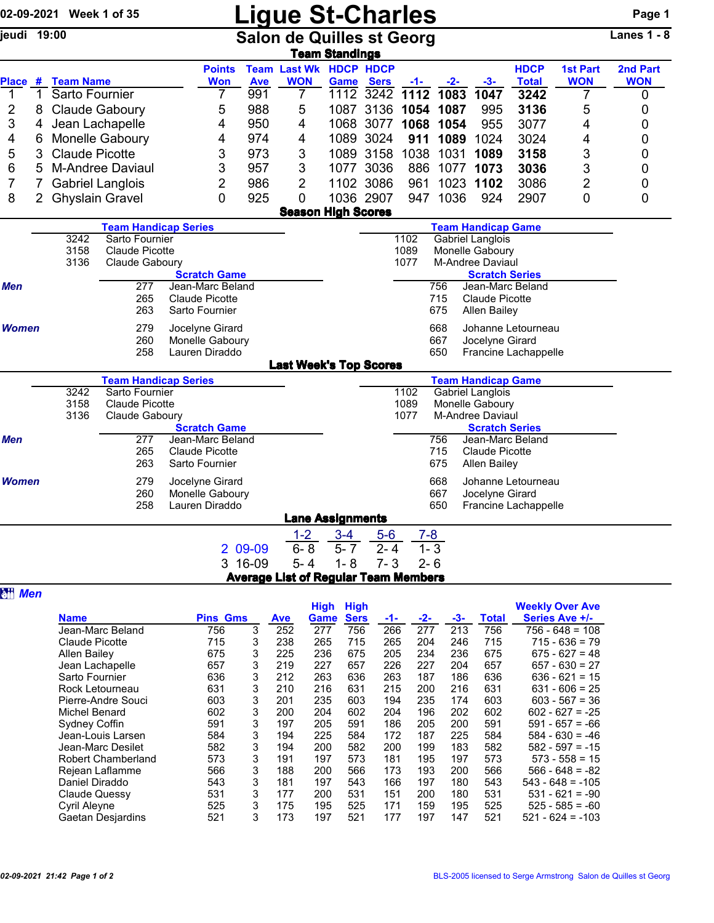|                |   | 02-09-2021 Week 1 of 35            |                                                    |                                                      |                   | <b>Ligue St-Charles</b>                     |                                      |                               |                      |                   |                                                                |                                            |                                          | Page 1             |  |
|----------------|---|------------------------------------|----------------------------------------------------|------------------------------------------------------|-------------------|---------------------------------------------|--------------------------------------|-------------------------------|----------------------|-------------------|----------------------------------------------------------------|--------------------------------------------|------------------------------------------|--------------------|--|
| jeudi 19:00    |   |                                    |                                                    |                                                      |                   | <b>Salon de Quilles st Georg</b>            | <b>Team Standings</b>                |                               |                      |                   |                                                                |                                            |                                          | <b>Lanes 1 - 8</b> |  |
|                |   |                                    |                                                    | <b>Points</b>                                        |                   | <b>Team Last Wk HDCP HDCP</b>               |                                      |                               |                      |                   |                                                                | <b>HDCP</b>                                | <b>1st Part</b>                          | 2nd Part           |  |
| Place #<br>1   | 1 | <b>Team Name</b><br>Sarto Fournier |                                                    | <b>Won</b><br>7                                      | <b>Ave</b><br>991 | <b>WON</b><br>7                             | <b>Game</b>                          | <b>Sers</b><br>1112 3242 1112 | -1-                  | $-2-$<br>1083     | $-3-$<br>1047                                                  | <b>Total</b><br>3242                       | <b>WON</b><br>7                          | <b>WON</b><br>0    |  |
| 2              | 8 |                                    | <b>Claude Gaboury</b>                              | 5                                                    | 988               | 5                                           |                                      | 1087 3136 1054                |                      | 1087              | 995                                                            | 3136                                       | 5                                        | 0                  |  |
| 3              | 4 |                                    | Jean Lachapelle                                    | 4                                                    | 950               | 4                                           | 1068                                 | 3077                          |                      | 1068 1054         | 955                                                            | 3077                                       | 4                                        | 0                  |  |
| 4              | 6 |                                    | Monelle Gaboury                                    | 4                                                    | 974               | 4                                           |                                      | 1089 3024                     | 911                  | 1089              | 1024                                                           | 3024                                       | 4                                        | 0                  |  |
| 5              | 3 | <b>Claude Picotte</b>              |                                                    | 3                                                    | 973               | 3                                           |                                      | 1089 3158                     | 1038                 | 1031              | 1089                                                           | 3158                                       | 3                                        | 0                  |  |
| 6              | 5 |                                    | <b>M-Andree Daviaul</b>                            | 3                                                    | 957               | 3                                           |                                      | 1077 3036                     | 886                  |                   | 1077 1073                                                      | 3036                                       | 3                                        | 0                  |  |
| 7              | 7 |                                    | <b>Gabriel Langlois</b>                            | $\overline{2}$                                       | 986               | 2                                           |                                      | 1102 3086                     | 961                  |                   | 1023 1102                                                      | 3086                                       | 2                                        | 0                  |  |
| 8              | 2 | <b>Ghyslain Gravel</b>             |                                                    | 0                                                    | 925               | 0                                           |                                      | 1036 2907                     | 947                  | 1036              | 924                                                            | 2907                                       | 0                                        | 0                  |  |
|                |   |                                    |                                                    |                                                      |                   | <b>Season High Scores</b>                   |                                      |                               |                      |                   |                                                                |                                            |                                          |                    |  |
|                |   |                                    | <b>Team Handicap Series</b>                        |                                                      |                   |                                             |                                      |                               |                      |                   | <b>Team Handicap Game</b>                                      |                                            |                                          |                    |  |
|                |   | 3242<br>3158<br>3136               | Sarto Fournier<br>Claude Picotte                   |                                                      |                   |                                             |                                      |                               | 1102<br>1089<br>1077 |                   | <b>Gabriel Langlois</b><br>Monelle Gaboury<br>M-Andree Daviaul |                                            |                                          |                    |  |
|                |   |                                    | Claude Gaboury                                     | <b>Scratch Game</b>                                  |                   |                                             |                                      |                               |                      |                   | <b>Scratch Series</b>                                          |                                            |                                          |                    |  |
| Men            |   |                                    | 277                                                | Jean-Marc Beland                                     |                   |                                             |                                      |                               |                      | 756               | Jean-Marc Beland                                               |                                            |                                          |                    |  |
|                |   |                                    | 265<br>263                                         | <b>Claude Picotte</b><br>Sarto Fournier              |                   |                                             |                                      |                               |                      | 715<br>675        | Claude Picotte<br><b>Allen Bailey</b>                          |                                            |                                          |                    |  |
| <b>Women</b>   |   |                                    | 279<br>260<br>258                                  | Jocelyne Girard<br>Monelle Gaboury<br>Lauren Diraddo |                   |                                             |                                      |                               |                      | 668<br>667<br>650 | Jocelyne Girard                                                | Johanne Letourneau<br>Francine Lachappelle |                                          |                    |  |
|                |   |                                    |                                                    |                                                      |                   | <b>Last Week's Top Scores</b>               |                                      |                               |                      |                   |                                                                |                                            |                                          |                    |  |
|                |   |                                    | <b>Team Handicap Series</b>                        |                                                      |                   |                                             |                                      |                               |                      |                   | <b>Team Handicap Game</b>                                      |                                            |                                          |                    |  |
|                |   | 3242<br>3158<br>3136               | Sarto Fournier<br>Claude Picotte<br>Claude Gaboury |                                                      |                   |                                             |                                      |                               | 1102<br>1089<br>1077 |                   | Gabriel Langlois<br>Monelle Gaboury<br><b>M-Andree Daviaul</b> |                                            |                                          |                    |  |
| <b>Men</b>     |   |                                    | 277                                                | <b>Scratch Game</b><br>Jean-Marc Beland              |                   |                                             |                                      |                               |                      | 756               | <b>Scratch Series</b><br>Jean-Marc Beland                      |                                            |                                          |                    |  |
|                |   |                                    | 265<br>263                                         | <b>Claude Picotte</b><br>Sarto Fournier              |                   |                                             |                                      |                               |                      | 715<br>675        | <b>Claude Picotte</b><br><b>Allen Bailey</b>                   |                                            |                                          |                    |  |
| <b>Women</b>   |   |                                    | 279<br>260<br>258                                  | Jocelyne Girard<br>Monelle Gaboury<br>Lauren Diraddo |                   |                                             |                                      |                               |                      | 668<br>667<br>650 | Jocelyne Girard                                                | Johanne Letourneau<br>Francine Lachappelle |                                          |                    |  |
|                |   |                                    |                                                    |                                                      |                   | <b>Lane Assignments</b>                     |                                      |                               |                      |                   |                                                                |                                            |                                          |                    |  |
|                |   |                                    |                                                    |                                                      |                   | $1-2$                                       | $3 - 4$                              | $5-6$                         | $7 - 8$              |                   |                                                                |                                            |                                          |                    |  |
|                |   |                                    |                                                    |                                                      | 2 09-09           | $6 - 8$                                     | $5 - 7$                              | $2 - 4$                       |                      | $1 - 3$           |                                                                |                                            |                                          |                    |  |
|                |   |                                    |                                                    |                                                      | 3 16-09           | $5 - 4$                                     | $1 - 8$                              | $7 - 3$                       | $2 - 6$              |                   |                                                                |                                            |                                          |                    |  |
|                |   |                                    |                                                    |                                                      |                   | <b>Average List of Regular Team Members</b> |                                      |                               |                      |                   |                                                                |                                            |                                          |                    |  |
| <b>all Men</b> |   |                                    |                                                    |                                                      |                   |                                             |                                      |                               |                      |                   |                                                                |                                            |                                          |                    |  |
|                |   | <b>Name</b>                        |                                                    | <b>Pins Gms</b>                                      |                   | <b>Ave</b>                                  | <b>High High</b><br><b>Game Sers</b> | -1-                           | -2-                  | -3-               | <b>Total</b>                                                   |                                            | <b>Weekly Over Ave</b><br>Series Ave +/- |                    |  |
|                |   |                                    | Joan Marc Roland                                   | 756                                                  |                   | າເລ                                         | 756                                  | <b>DAR</b>                    | - 277                | 212               | 756                                                            |                                            | $756 619 - 109$                          |                    |  |

|                           |                 |   |            | nıyıı | пıyн        |     |       |     |              | <b><i>INGERIA OVEL AVE</i></b> |
|---------------------------|-----------------|---|------------|-------|-------------|-----|-------|-----|--------------|--------------------------------|
| <b>Name</b>               | <b>Pins Gms</b> |   | <b>Ave</b> | Game  | <b>Sers</b> | -1- | $-2-$ | -3- | <b>Total</b> | Series Ave +/-                 |
| Jean-Marc Beland          | 756             | 3 | 252        | 277   | 756         | 266 | 277   | 213 | 756          | 756 - 648 = 108                |
| Claude Picotte            | 715             | 3 | 238        | 265   | 715         | 265 | 204   | 246 | 715          | $715 - 636 = 79$               |
| Allen Bailey              | 675             | 3 | 225        | 236   | 675         | 205 | 234   | 236 | 675          | $675 - 627 = 48$               |
| Jean Lachapelle           | 657             | 3 | 219        | 227   | 657         | 226 | 227   | 204 | 657          | $657 - 630 = 27$               |
| Sarto Fournier            | 636             | 3 | 212        | 263   | 636         | 263 | 187   | 186 | 636          | $636 - 621 = 15$               |
| Rock Letourneau           | 631             | 3 | 210        | 216   | 631         | 215 | 200   | 216 | 631          | $631 - 606 = 25$               |
| Pierre-Andre Souci        | 603             | 3 | 201        | 235   | 603         | 194 | 235   | 174 | 603          | $603 - 567 = 36$               |
| Michel Benard             | 602             | 3 | 200        | 204   | 602         | 204 | 196   | 202 | 602          | $602 - 627 = -25$              |
| Sydney Coffin             | 591             | 3 | 197        | 205   | 591         | 186 | 205   | 200 | 591          | $591 - 657 = -66$              |
| Jean-Louis Larsen         | 584             | 3 | 194        | 225   | 584         | 172 | 187   | 225 | 584          | $584 - 630 = -46$              |
| Jean-Marc Desilet         | 582             | 3 | 194        | 200   | 582         | 200 | 199   | 183 | 582          | $582 - 597 = -15$              |
| <b>Robert Chamberland</b> | 573             | 3 | 191        | 197   | 573         | 181 | 195   | 197 | 573          | $573 - 558 = 15$               |
| Rejean Laflamme           | 566             | 3 | 188        | 200   | 566         | 173 | 193   | 200 | 566          | $566 - 648 = -82$              |
| Daniel Diraddo            | 543             | 3 | 181        | 197   | 543         | 166 | 197   | 180 | 543          | $543 - 648 = -105$             |
| <b>Claude Quessy</b>      | 531             | 3 | 177        | 200   | 531         | 151 | 200   | 180 | 531          | $531 - 621 = -90$              |
| Cyril Aleyne              | 525             | 3 | 175        | 195   | 525         | 171 | 159   | 195 | 525          | $525 - 585 = -60$              |
| Gaetan Desjardins         | 521             | 3 | 173        | 197   | 521         | 177 | 197   | 147 | 521          | $521 - 624 = -103$             |
|                           |                 |   |            |       |             |     |       |     |              |                                |